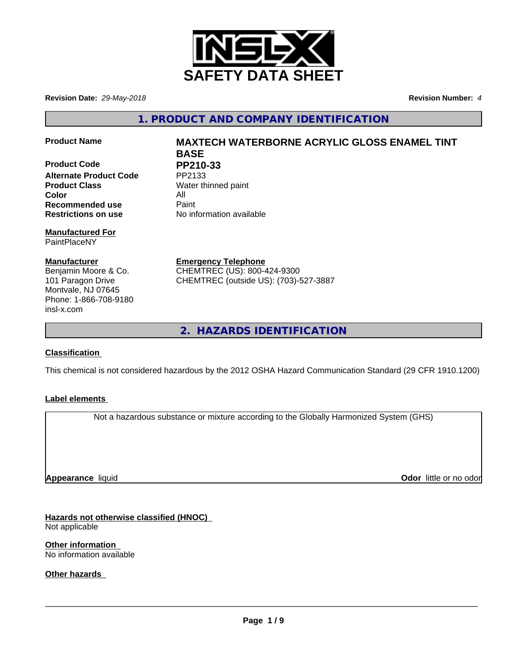

**Revision Date:** *29-May-2018* **Revision Number:** *4*

**1. PRODUCT AND COMPANY IDENTIFICATION**

**Product Code PP210-33**<br>Alternate Product Code PP2133 **Alternate Product Code Product Class** Water thinned paint **Color** All **All**<br> **Recommended use** Paint **Recommended use Restrictions on use** No information available

### **Manufactured For** PaintPlaceNY

**Manufacturer** Benjamin Moore & Co. 101 Paragon Drive Montvale, NJ 07645 Phone: 1-866-708-9180 insl-x.com

# **Product Name MAXTECH WATERBORNE ACRYLIC GLOSS ENAMEL TINT BASE**

**Emergency Telephone** CHEMTREC (US): 800-424-9300 CHEMTREC (outside US): (703)-527-3887

**2. HAZARDS IDENTIFICATION**

## **Classification**

This chemical is not considered hazardous by the 2012 OSHA Hazard Communication Standard (29 CFR 1910.1200)

## **Label elements**

Not a hazardous substance or mixture according to the Globally Harmonized System (GHS)

**Appearance** liquid

**Odor** little or no odor

**Hazards not otherwise classified (HNOC)** Not applicable

**Other information** No information available

**Other hazards**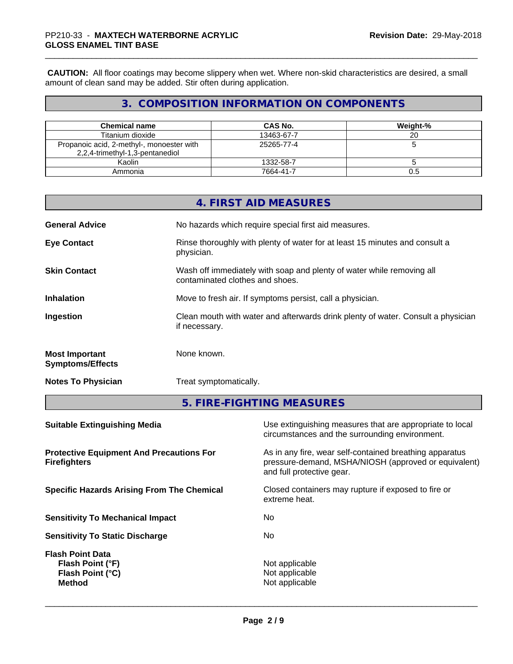**CAUTION:** All floor coatings may become slippery when wet. Where non-skid characteristics are desired, a small amount of clean sand may be added. Stir often during application.

# **3. COMPOSITION INFORMATION ON COMPONENTS**

| <b>Chemical name</b>                                                         | CAS No.    | Weight-% |
|------------------------------------------------------------------------------|------------|----------|
| Titanium dioxide                                                             | 13463-67-7 | 20       |
| Propanoic acid, 2-methyl-, monoester with<br>2,2,4-trimethyl-1,3-pentanediol | 25265-77-4 |          |
| Kaolin                                                                       | 1332-58-7  |          |
| Ammonia                                                                      | 7664-41-7  | ს.ხ      |

|                                                  | 4. FIRST AID MEASURES                                                                                    |
|--------------------------------------------------|----------------------------------------------------------------------------------------------------------|
| <b>General Advice</b>                            | No hazards which require special first aid measures.                                                     |
| <b>Eye Contact</b>                               | Rinse thoroughly with plenty of water for at least 15 minutes and consult a<br>physician.                |
| <b>Skin Contact</b>                              | Wash off immediately with soap and plenty of water while removing all<br>contaminated clothes and shoes. |
| <b>Inhalation</b>                                | Move to fresh air. If symptoms persist, call a physician.                                                |
| Ingestion                                        | Clean mouth with water and afterwards drink plenty of water. Consult a physician<br>if necessary.        |
| <b>Most Important</b><br><b>Symptoms/Effects</b> | None known.                                                                                              |
| <b>Notes To Physician</b>                        | Treat symptomatically.                                                                                   |

**5. FIRE-FIGHTING MEASURES**

| <b>Suitable Extinguishing Media</b>                                              | Use extinguishing measures that are appropriate to local<br>circumstances and the surrounding environment.                                   |
|----------------------------------------------------------------------------------|----------------------------------------------------------------------------------------------------------------------------------------------|
| <b>Protective Equipment And Precautions For</b><br><b>Firefighters</b>           | As in any fire, wear self-contained breathing apparatus<br>pressure-demand, MSHA/NIOSH (approved or equivalent)<br>and full protective gear. |
| <b>Specific Hazards Arising From The Chemical</b>                                | Closed containers may rupture if exposed to fire or<br>extreme heat.                                                                         |
| <b>Sensitivity To Mechanical Impact</b>                                          | No.                                                                                                                                          |
| <b>Sensitivity To Static Discharge</b>                                           | No.                                                                                                                                          |
| <b>Flash Point Data</b><br>Flash Point (°F)<br>Flash Point (°C)<br><b>Method</b> | Not applicable<br>Not applicable<br>Not applicable                                                                                           |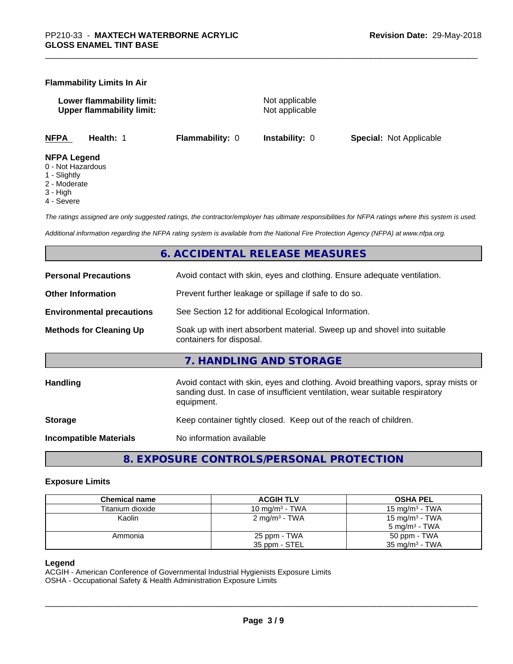## **Flammability Limits In Air**

**Lower flammability limit:** Not applicable **Upper flammability limit:** Not applicable

**NFPA Health:** 1 **Flammability:** 0 **Instability:** 0 **Special:** Not Applicable

#### **NFPA Legend**

- 0 Not Hazardous
- 1 Slightly
- 2 Moderate
- 3 High
- 4 Severe

*The ratings assigned are only suggested ratings, the contractor/employer has ultimate responsibilities for NFPA ratings where this system is used.*

*Additional information regarding the NFPA rating system is available from the National Fire Protection Agency (NFPA) at www.nfpa.org.*

## **6. ACCIDENTAL RELEASE MEASURES**

| <b>Personal Precautions</b>      | Avoid contact with skin, eyes and clothing. Ensure adequate ventilation.                                                                                                         |
|----------------------------------|----------------------------------------------------------------------------------------------------------------------------------------------------------------------------------|
| <b>Other Information</b>         | Prevent further leakage or spillage if safe to do so.                                                                                                                            |
| <b>Environmental precautions</b> | See Section 12 for additional Ecological Information.                                                                                                                            |
| <b>Methods for Cleaning Up</b>   | Soak up with inert absorbent material. Sweep up and shovel into suitable<br>containers for disposal.                                                                             |
|                                  | 7. HANDLING AND STORAGE                                                                                                                                                          |
| <b>Handling</b>                  | Avoid contact with skin, eyes and clothing. Avoid breathing vapors, spray mists or<br>sanding dust. In case of insufficient ventilation, wear suitable respiratory<br>equipment. |
| <b>Storage</b>                   | Keep container tightly closed. Keep out of the reach of children.                                                                                                                |
| <b>Incompatible Materials</b>    | No information available                                                                                                                                                         |
|                                  |                                                                                                                                                                                  |

**8. EXPOSURE CONTROLS/PERSONAL PROTECTION**

### **Exposure Limits**

| <b>Chemical name</b> | <b>ACGIH TLV</b>           | <b>OSHA PEL</b>            |
|----------------------|----------------------------|----------------------------|
| Titanium dioxide     | 10 mg/m <sup>3</sup> - TWA | 15 mg/m $3$ - TWA          |
| Kaolin               | 2 mg/m <sup>3</sup> - TWA  | 15 mg/m <sup>3</sup> - TWA |
|                      |                            | $5 \text{ ma/m}^3$ - TWA   |
| Ammonia              | 25 ppm - TWA               | 50 ppm - TWA               |
|                      | 35 ppm - STEL              | $35 \text{ mg/m}^3$ - TWA  |

#### **Legend**

ACGIH - American Conference of Governmental Industrial Hygienists Exposure Limits OSHA - Occupational Safety & Health Administration Exposure Limits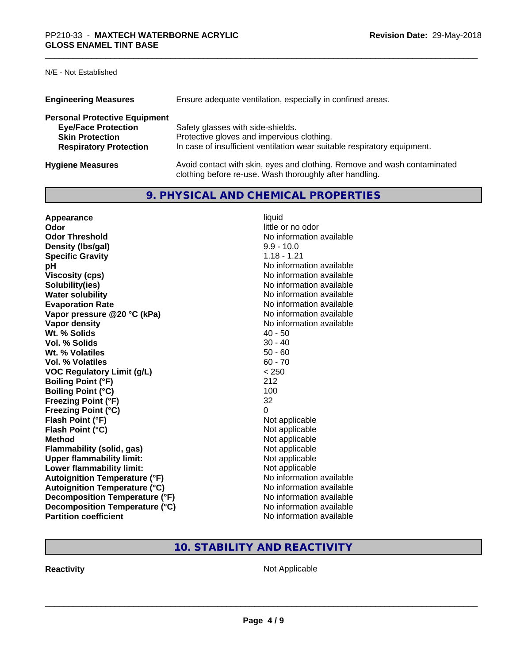## N/E - Not Established

| <b>Engineering Measures</b>          | Ensure adequate ventilation, especially in confined areas.                                                                          |
|--------------------------------------|-------------------------------------------------------------------------------------------------------------------------------------|
| <b>Personal Protective Equipment</b> |                                                                                                                                     |
| <b>Eye/Face Protection</b>           | Safety glasses with side-shields.                                                                                                   |
| <b>Skin Protection</b>               | Protective gloves and impervious clothing.                                                                                          |
| <b>Respiratory Protection</b>        | In case of insufficient ventilation wear suitable respiratory equipment.                                                            |
| <b>Hygiene Measures</b>              | Avoid contact with skin, eyes and clothing. Remove and wash contaminated<br>clothing before re-use. Wash thoroughly after handling. |

# **9. PHYSICAL AND CHEMICAL PROPERTIES**

| Appearance                           | liquid                   |
|--------------------------------------|--------------------------|
| Odor                                 | little or no odor        |
| <b>Odor Threshold</b>                | No information available |
| Density (Ibs/gal)                    | $9.9 - 10.0$             |
| <b>Specific Gravity</b>              | $1.18 - 1.21$            |
| рH                                   | No information available |
| <b>Viscosity (cps)</b>               | No information available |
| Solubility(ies)                      | No information available |
| <b>Water solubility</b>              | No information available |
| <b>Evaporation Rate</b>              | No information available |
| Vapor pressure @20 °C (kPa)          | No information available |
| Vapor density                        | No information available |
| Wt. % Solids                         | $40 - 50$                |
| Vol. % Solids                        | $30 - 40$                |
| Wt. % Volatiles                      | $50 - 60$                |
| <b>Vol. % Volatiles</b>              | $60 - 70$                |
| <b>VOC Regulatory Limit (g/L)</b>    | < 250                    |
| <b>Boiling Point (°F)</b>            | 212                      |
| <b>Boiling Point (°C)</b>            | 100                      |
| <b>Freezing Point (°F)</b>           | 32                       |
| <b>Freezing Point (°C)</b>           | $\Omega$                 |
| Flash Point (°F)                     | Not applicable           |
| Flash Point (°C)                     | Not applicable           |
| <b>Method</b>                        | Not applicable           |
| <b>Flammability (solid, gas)</b>     | Not applicable           |
| <b>Upper flammability limit:</b>     | Not applicable           |
| Lower flammability limit:            | Not applicable           |
| <b>Autoignition Temperature (°F)</b> | No information available |
| <b>Autoignition Temperature (°C)</b> | No information available |
| Decomposition Temperature (°F)       | No information available |
| Decomposition Temperature (°C)       | No information available |
| <b>Partition coefficient</b>         | No information available |

# **10. STABILITY AND REACTIVITY**

**Reactivity Not Applicable** Not Applicable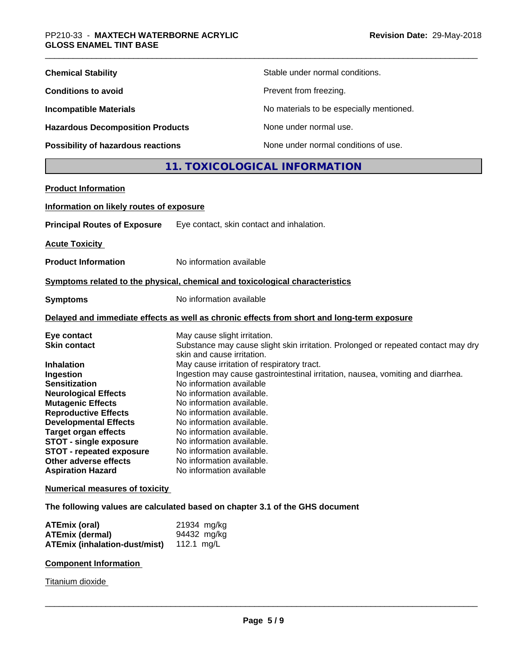| <b>Chemical Stability</b>               | Stable under normal conditions.          |
|-----------------------------------------|------------------------------------------|
| <b>Conditions to avoid</b>              | Prevent from freezing.                   |
| <b>Incompatible Materials</b>           | No materials to be especially mentioned. |
| <b>Hazardous Decomposition Products</b> | None under normal use.                   |
| Possibility of hazardous reactions      | None under normal conditions of use.     |

# **11. TOXICOLOGICAL INFORMATION**

| <b>Product Information</b>                                                                                                                                                                                                                                                                                                                         |                                                                                                                                                                                                                                                                                                                                                                                                                                                                                                                                                      |
|----------------------------------------------------------------------------------------------------------------------------------------------------------------------------------------------------------------------------------------------------------------------------------------------------------------------------------------------------|------------------------------------------------------------------------------------------------------------------------------------------------------------------------------------------------------------------------------------------------------------------------------------------------------------------------------------------------------------------------------------------------------------------------------------------------------------------------------------------------------------------------------------------------------|
| Information on likely routes of exposure                                                                                                                                                                                                                                                                                                           |                                                                                                                                                                                                                                                                                                                                                                                                                                                                                                                                                      |
| <b>Principal Routes of Exposure</b>                                                                                                                                                                                                                                                                                                                | Eye contact, skin contact and inhalation.                                                                                                                                                                                                                                                                                                                                                                                                                                                                                                            |
| <b>Acute Toxicity</b>                                                                                                                                                                                                                                                                                                                              |                                                                                                                                                                                                                                                                                                                                                                                                                                                                                                                                                      |
| <b>Product Information</b>                                                                                                                                                                                                                                                                                                                         | No information available                                                                                                                                                                                                                                                                                                                                                                                                                                                                                                                             |
|                                                                                                                                                                                                                                                                                                                                                    | Symptoms related to the physical, chemical and toxicological characteristics                                                                                                                                                                                                                                                                                                                                                                                                                                                                         |
| <b>Symptoms</b>                                                                                                                                                                                                                                                                                                                                    | No information available                                                                                                                                                                                                                                                                                                                                                                                                                                                                                                                             |
|                                                                                                                                                                                                                                                                                                                                                    | Delayed and immediate effects as well as chronic effects from short and long-term exposure                                                                                                                                                                                                                                                                                                                                                                                                                                                           |
| Eye contact<br><b>Skin contact</b><br><b>Inhalation</b><br>Ingestion<br><b>Sensitization</b><br><b>Neurological Effects</b><br><b>Mutagenic Effects</b><br><b>Reproductive Effects</b><br><b>Developmental Effects</b><br><b>Target organ effects</b><br><b>STOT - single exposure</b><br><b>STOT - repeated exposure</b><br>Other adverse effects | May cause slight irritation.<br>Substance may cause slight skin irritation. Prolonged or repeated contact may dry<br>skin and cause irritation.<br>May cause irritation of respiratory tract.<br>Ingestion may cause gastrointestinal irritation, nausea, vomiting and diarrhea.<br>No information available<br>No information available.<br>No information available.<br>No information available.<br>No information available.<br>No information available.<br>No information available.<br>No information available.<br>No information available. |
| <b>Aspiration Hazard</b><br><b>Numerical measures of toxicity</b>                                                                                                                                                                                                                                                                                  | No information available                                                                                                                                                                                                                                                                                                                                                                                                                                                                                                                             |

**The following values are calculated based on chapter 3.1 of the GHS document**

| ATEmix (oral)                                   | 21934 mg/kg |
|-------------------------------------------------|-------------|
| <b>ATEmix (dermal)</b>                          | 94432 mg/kg |
| <b>ATEmix (inhalation-dust/mist)</b> 112.1 mg/L |             |

## **Component Information**

Titanium dioxide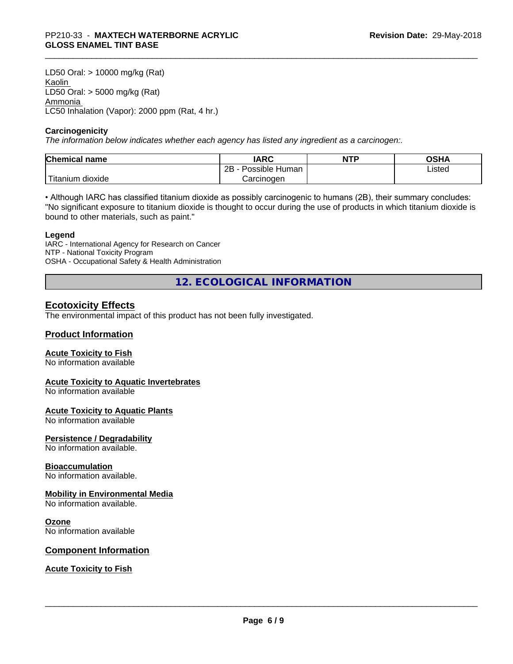LD50 Oral: > 10000 mg/kg (Rat) Kaolin LD50 Oral: > 5000 mg/kg (Rat) Ammonia LC50 Inhalation (Vapor): 2000 ppm (Rat, 4 hr.)

#### **Carcinogenicity**

*The information below indicateswhether each agency has listed any ingredient as a carcinogen:.*

| <b>Chemical</b><br>name             | <b>IARC</b>                    | <b>NTP</b> | ດເ⊔າ<br>שטש |
|-------------------------------------|--------------------------------|------------|-------------|
|                                     | .<br>2B<br>: Human<br>Possible |            | Listed      |
| $-1$<br>, dioxide<br><b>itanium</b> | Carcinoɑen                     |            |             |

• Although IARC has classified titanium dioxide as possibly carcinogenic to humans (2B), their summary concludes: "No significant exposure to titanium dioxide is thought to occur during the use of products in which titanium dioxide is bound to other materials, such as paint."

#### **Legend**

IARC - International Agency for Research on Cancer NTP - National Toxicity Program OSHA - Occupational Safety & Health Administration

**12. ECOLOGICAL INFORMATION**

### **Ecotoxicity Effects**

The environmental impact of this product has not been fully investigated.

### **Product Information**

#### **Acute Toxicity to Fish**

No information available

#### **Acute Toxicity to Aquatic Invertebrates**

No information available

#### **Acute Toxicity to Aquatic Plants**

No information available

#### **Persistence / Degradability**

No information available.

#### **Bioaccumulation**

No information available.

#### **Mobility in Environmental Media**

No information available.

#### **Ozone**

No information available

## **Component Information**

**Acute Toxicity to Fish**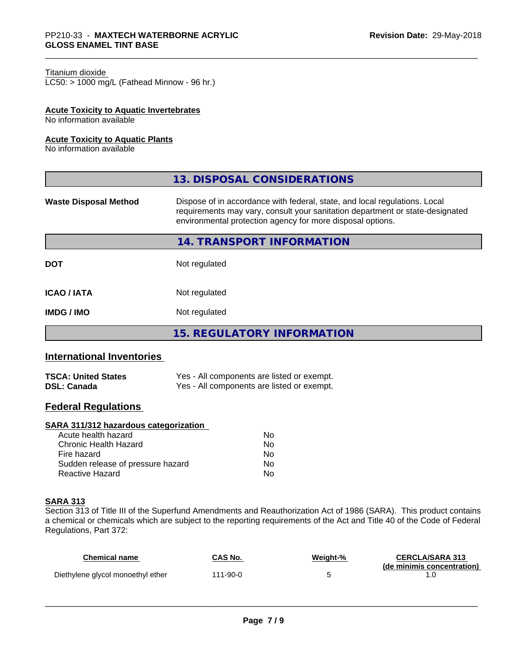#### Titanium dioxide

LC50: > 1000 mg/L (Fathead Minnow - 96 hr.)

## **Acute Toxicity to Aquatic Invertebrates**

No information available

#### **Acute Toxicity to Aquatic Plants**

No information available

| Dispose of in accordance with federal, state, and local regulations. Local<br>requirements may vary, consult your sanitation department or state-designated<br>environmental protection agency for more disposal options.<br>14. TRANSPORT INFORMATION<br>Not regulated<br>Not regulated |                              | 13. DISPOSAL CONSIDERATIONS |
|------------------------------------------------------------------------------------------------------------------------------------------------------------------------------------------------------------------------------------------------------------------------------------------|------------------------------|-----------------------------|
|                                                                                                                                                                                                                                                                                          | <b>Waste Disposal Method</b> |                             |
|                                                                                                                                                                                                                                                                                          |                              |                             |
|                                                                                                                                                                                                                                                                                          | <b>DOT</b>                   |                             |
|                                                                                                                                                                                                                                                                                          | <b>ICAO/IATA</b>             |                             |
|                                                                                                                                                                                                                                                                                          | <b>IMDG/IMO</b>              | Not regulated               |
| <b>15. REGULATORY INFORMATION</b>                                                                                                                                                                                                                                                        |                              |                             |

# **International Inventories**

| <b>TSCA: United States</b> | Yes - All components are listed or exempt. |
|----------------------------|--------------------------------------------|
| <b>DSL: Canada</b>         | Yes - All components are listed or exempt. |

## **Federal Regulations**

### **SARA 311/312 hazardous categorization**

| Acute health hazard               | No |  |
|-----------------------------------|----|--|
| Chronic Health Hazard             | Nο |  |
| Fire hazard                       | Nο |  |
| Sudden release of pressure hazard | Nο |  |
| Reactive Hazard                   | Nο |  |

#### **SARA 313**

Section 313 of Title III of the Superfund Amendments and Reauthorization Act of 1986 (SARA). This product contains a chemical or chemicals which are subject to the reporting requirements of the Act and Title 40 of the Code of Federal Regulations, Part 372:

| Chemical name                     | CAS No.  | Weight-% | <b>CERCLA/SARA 313</b>     |
|-----------------------------------|----------|----------|----------------------------|
| Diethylene glycol monoethyl ether | 111-90-0 |          | (de minimis concentration) |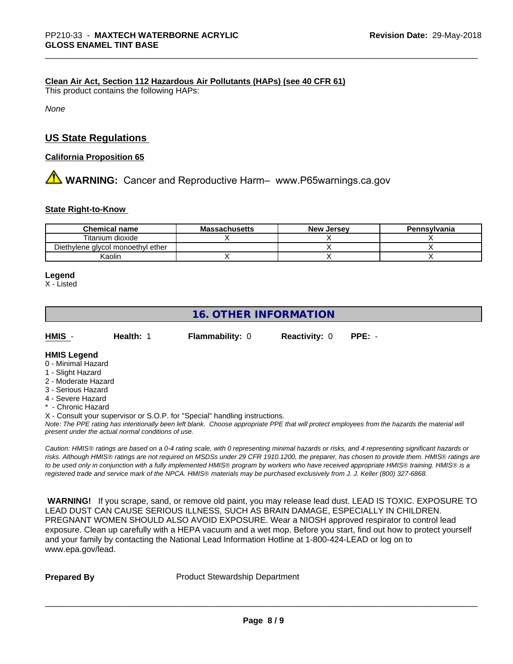### **Clean Air Act,Section 112 Hazardous Air Pollutants (HAPs) (see 40 CFR 61)**

This product contains the following HAPs:

*None*

## **US State Regulations**

### **California Proposition 65**

**A** WARNING: Cancer and Reproductive Harm– www.P65warnings.ca.gov

#### **State Right-to-Know**

| <b>Chemical name</b>              | <b>Massachusetts</b> | <b>New Jersey</b> | Pennsylvania |
|-----------------------------------|----------------------|-------------------|--------------|
| Titanium dioxide                  |                      |                   |              |
| Diethylene glycol monoethyl ether |                      |                   |              |
| Kaolin                            |                      |                   |              |

#### **Legend**

X - Listed

# **16. OTHER INFORMATION**

| HMIS          | Health: 1 | <b>Flammability: 0</b> | <b>Reactivity: 0 PPE: -</b> |  |
|---------------|-----------|------------------------|-----------------------------|--|
| _ _ _ _ _ _ _ |           |                        |                             |  |

#### **HMIS Legend** 0 - Minimal Hazard

- 1 Slight Hazard
- 2 Moderate Hazard
- 3 Serious Hazard
- 4 Severe Hazard
- **Chronic Hazard**
- X Consult your supervisor or S.O.P. for "Special" handling instructions.

*Note: The PPE rating has intentionally been left blank. Choose appropriate PPE that will protect employees from the hazards the material will present under the actual normal conditions of use.*

*Caution: HMISÒ ratings are based on a 0-4 rating scale, with 0 representing minimal hazards or risks, and 4 representing significant hazards or risks. Although HMISÒ ratings are not required on MSDSs under 29 CFR 1910.1200, the preparer, has chosen to provide them. HMISÒ ratings are to be used only in conjunction with a fully implemented HMISÒ program by workers who have received appropriate HMISÒ training. HMISÒ is a registered trade and service mark of the NPCA. HMISÒ materials may be purchased exclusively from J. J. Keller (800) 327-6868.*

 **WARNING!** If you scrape, sand, or remove old paint, you may release lead dust. LEAD IS TOXIC. EXPOSURE TO LEAD DUST CAN CAUSE SERIOUS ILLNESS, SUCH AS BRAIN DAMAGE, ESPECIALLY IN CHILDREN. PREGNANT WOMEN SHOULD ALSO AVOID EXPOSURE.Wear a NIOSH approved respirator to control lead exposure. Clean up carefully with a HEPA vacuum and a wet mop. Before you start, find out how to protect yourself and your family by contacting the National Lead Information Hotline at 1-800-424-LEAD or log on to www.epa.gov/lead.

**Prepared By** Product Stewardship Department